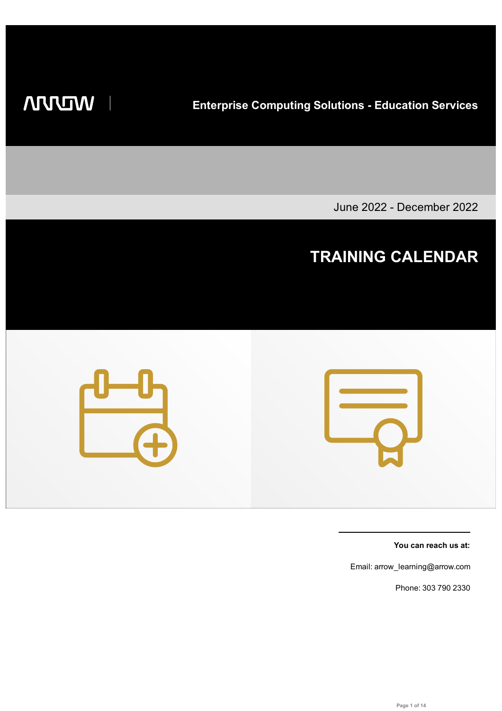**WILLIAM** 

**Enterprise Computing Solutions - Education Services**

June 2022 - December 2022

## **TRAINING CALENDAR**



**You can reach us at:**

Email: arrow\_learning@arrow.com

Phone: 303 790 2330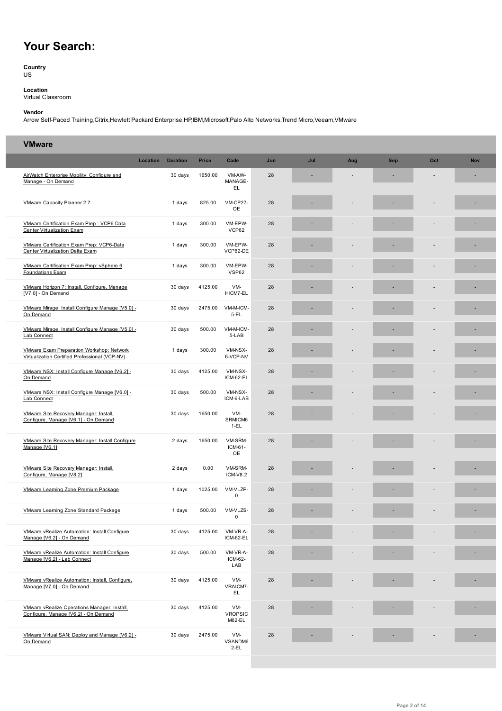## **Your Search:**

**Country** US

**Location** Virtual Classroom

## **Vendor**

Arrow Self-Paced Training,Citrix,Hewlett Packard Enterprise,HP,IBM,Microsoft,Palo Alto Networks,Trend Micro,Veeam,VMware

## **VMware**

|                                                                                             | Location | <b>Duration</b> | <b>Price</b> | Code                            | Jun | Jul | Aug | <b>Sep</b> | Oct | <b>Nov</b> |
|---------------------------------------------------------------------------------------------|----------|-----------------|--------------|---------------------------------|-----|-----|-----|------------|-----|------------|
| AirWatch Enterprise Mobility: Configure and<br>Manage - On Demand                           |          | 30 days         | 1650.00      | VM-AW-<br>MANAGE-<br>EL.        | 28  |     |     |            |     |            |
| VMware Capacity Planner 2.7                                                                 |          | 1 days          | 825.00       | <b>VM-CP27-</b><br>OE           | 28  |     |     |            |     |            |
| VMware Certification Exam Prep: VCP6 Data<br><b>Center Virtualization Exam</b>              |          | 1 days          | 300.00       | VM-EPW-<br>VCP62                | 28  |     |     |            |     |            |
| VMware Certification Exam Prep: VCP6-Data<br>Center Virtualization Delta Exam               |          | 1 days          | 300.00       | VM-EPW-<br>VCP62-DE             | 28  |     |     |            |     |            |
| VMware Certification Exam Prep: vSphere 6<br>Foundations Exam                               |          | 1 days          | 300.00       | VM-EPW-<br><b>VSP62</b>         | 28  |     |     |            |     |            |
| VMware Horizon 7: Install, Configure, Manage<br>[V7.0] - On Demand                          |          | 30 days         | 4125.00      | VM-<br>HICM7-EL                 | 28  |     |     |            |     |            |
| VMware Mirage: Install Configure Manage [V5.0] -<br>On Demand                               |          | 30 days         | 2475.00      | VM-M-ICM-<br>$5-EL$             | 28  |     |     |            |     |            |
| VMware Mirage: Install Configure Manage [V5.0] -<br>Lab Connect                             |          | 30 days         | 500.00       | VM-M-ICM-<br>5-LAB              | 28  |     |     |            |     |            |
| VMware Exam Preparation Workshop: Network<br>Virtualization Certified Professional (VCP-NV) |          | 1 days          | 300.00       | VM-NSX-<br>6-VCP-NV             | 28  |     |     |            |     |            |
| VMware NSX: Install Configure Manage [V6.2] -<br>On Demand                                  |          | 30 days         | 4125.00      | VM-NSX-<br>ICM-62-EL            | 28  |     |     |            |     |            |
| VMware NSX: Install Configure Manage [V6.0] -<br>Lab Connect                                |          | 30 days         | 500.00       | VM-NSX-<br>ICM-6-LAB            | 28  |     |     |            |     |            |
| VMware Site Recovery Manager: Install,<br>Configure, Manage [V6.1] - On Demand              |          | 30 days         | 1650.00      | VM-<br>SRMICM6<br>$1-EL$        | 28  |     |     |            |     |            |
| VMware Site Recovery Manager: Install Configure<br>Manage [V6.1]                            |          | 2 days          | 1650.00      | VM-SRM-<br>ICM-61-<br>OE        | 28  |     |     |            |     |            |
| VMware Site Recovery Manager: Install,<br>Configure, Manage [V8.2]                          |          | 2 days          | 0.00         | VM-SRM-<br><b>ICM-V8.2</b>      | 28  |     |     |            |     |            |
| VMware Learning Zone Premium Package                                                        |          | 1 days          | 1025.00      | VM-VLZP-<br>0                   | 28  |     |     |            |     |            |
| <b>VMware Learning Zone Standard Package</b>                                                |          | 1 days          | 500.00       | VM-VLZS-<br>0                   | 28  |     |     |            |     |            |
| <b>VMware vRealize Automation: Install Configure</b><br>Manage [V6.2] - On Demand           |          | 30 days         | 4125.00      | VM-VR-A-<br>ICM-62-EL           | 28  |     |     |            |     |            |
| VMware vRealize Automation: Install Configure<br>Manage [V6.2] - Lab Connect                |          | 30 days         | 500.00       | VM-VR-A-<br>ICM-62-<br>LAB      | 28  |     |     |            |     |            |
| VMware vRealize Automation: Install, Configure,<br>Manage [V7.0] - On Demand                |          | 30 days         | 4125.00      | VM-<br>VRAICM7-<br>EL.          | 28  |     |     |            |     |            |
| VMware vRealize Operations Manager: Install,<br>Configure, Manage [V6.2] - On Demand        |          | 30 days         | 4125.00      | VM-<br><b>VROPSIC</b><br>M62-EL | 28  |     |     |            |     |            |
| VMware Virtual SAN: Deploy and Manage [V6.2] -<br>On Demand                                 |          | 30 days         | 2475.00      | VM-<br>VSANDM6<br>$2-EL$        | 28  |     |     |            |     |            |
|                                                                                             |          |                 |              |                                 |     |     |     |            |     |            |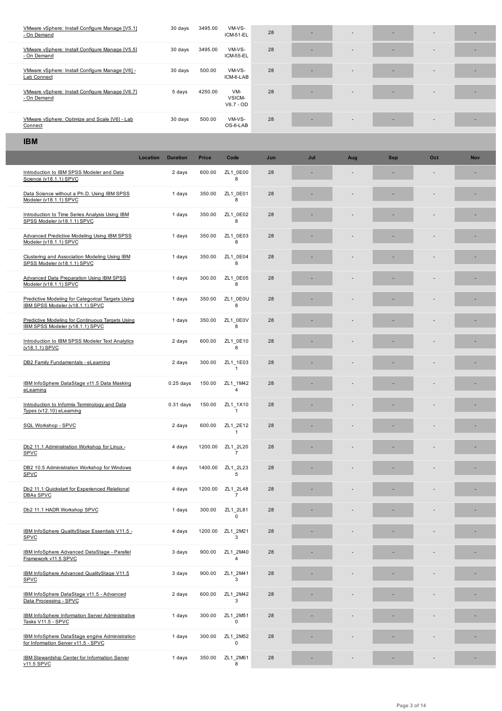| VMware vSphere: Install Configure Manage [V5.5]<br>- On Demand | 30 days | 3495.00 | VM-VS-<br>ICM-55-EL          | 28 | - | $\sim$                   |        | $\sim$         | $\overline{\phantom{a}}$ |
|----------------------------------------------------------------|---------|---------|------------------------------|----|---|--------------------------|--------|----------------|--------------------------|
| VMware vSphere: Install Configure Manage [V6] -<br>Lab Connect | 30 days | 500.00  | VM-VS-<br>ICM-6-LAB          | 28 |   | $\overline{\phantom{0}}$ | -      | $\overline{a}$ |                          |
| VMware vSphere: Install Configure Manage [V6.7]<br>- On Demand | 5 days  | 4250.00 | VM-<br>VSICM-<br>$V6.7 - OD$ | 28 |   | $\sim$                   |        | $\overline{a}$ |                          |
| VMware vSphere: Optimize and Scale [V6] - Lab<br>Connect       | 30 days | 500.00  | VM-VS-<br>OS-6-LAB           | 28 |   | $\overline{\phantom{0}}$ | $\sim$ | $\sim$         |                          |

| <b>IBM</b>                                                                            |          |                 |              |                            |     |     |     |            |     |            |
|---------------------------------------------------------------------------------------|----------|-----------------|--------------|----------------------------|-----|-----|-----|------------|-----|------------|
|                                                                                       | Location | <b>Duration</b> | <b>Price</b> | Code                       | Jun | Jul | Aug | <b>Sep</b> | Oct | <b>Nov</b> |
| Introduction to IBM SPSS Modeler and Data<br>Science (v18.1.1) SPVC                   |          | 2 days          | 600.00       | ZL1_0E00<br>8              | 28  |     |     |            |     |            |
| Data Science without a Ph.D. Using IBM SPSS<br>Modeler (v18.1.1) SPVC                 |          | 1 days          | 350.00       | ZL1 0E01<br>8              | 28  |     |     |            |     |            |
| Introduction to Time Series Analysis Using IBM<br>SPSS Modeler (v18.1.1) SPVC         |          | 1 days          | 350.00       | ZL1 0E02<br>8              | 28  |     |     |            |     |            |
| Advanced Predictive Modeling Using IBM SPSS<br>Modeler (v18.1.1) SPVC                 |          | 1 days          | 350.00       | ZL1 0E03<br>8              | 28  |     |     |            |     |            |
| Clustering and Association Modeling Using IBM<br>SPSS Modeler (v18.1.1) SPVC          |          | 1 days          | 350.00       | ZL1 0E04<br>8              | 28  |     |     |            |     |            |
| <b>Advanced Data Preparation Using IBM SPSS</b><br>Modeler (v18.1.1) SPVC             |          | 1 days          | 300.00       | ZL1 0E05<br>8              | 28  |     |     |            |     |            |
| Predictive Modeling for Categorical Targets Using<br>IBM SPSS Modeler (v18.1.1) SPVC  |          | 1 days          | 350.00       | ZL1 0E0U<br>8              | 28  |     |     |            |     |            |
| Predictive Modeling for Continuous Targets Using<br>IBM SPSS Modeler (v18.1.1) SPVC   |          | 1 days          | 350.00       | ZL1 0E0V<br>8              | 28  |     |     |            |     |            |
| Introduction to IBM SPSS Modeler Text Analytics<br>(v18.1.1) SPVC                     |          | 2 days          | 600.00       | ZL1 0E10<br>8              | 28  |     |     |            |     |            |
| DB2 Family Fundamentals - eLearning                                                   |          | 2 days          | 300.00       | ZL1 1E03<br>$\mathbf{1}$   | 28  |     |     |            |     |            |
| IBM InfoSphere DataStage v11.5 Data Masking<br>eLeaming                               |          | $0.25$ days     | 150.00       | ZL1 1M42<br>$\overline{4}$ | 28  |     |     |            | ÷,  |            |
| Introduction to Informix Terminology and Data<br>Types (v12.10) eLearning             |          | $0.31$ days     | 150.00       | ZL1_1X10<br>$\mathbf{1}$   | 28  |     |     |            |     |            |
| SQL Workshop - SPVC                                                                   |          | 2 days          | 600.00       | ZL1 2E12<br>$\overline{1}$ | 28  |     |     |            |     |            |
| Db2 11.1 Administration Workshop for Linux -<br>SPVC                                  |          | 4 days          | 1200.00      | ZL1_2L20<br>$\overline{7}$ | 28  |     |     |            |     |            |
| DB2 10.5 Administration Workshop for Windows<br>SPVC                                  |          | 4 days          | 1400.00      | ZL1_2L23<br>5              | 28  |     |     |            |     |            |
| Db2 11.1 Quickstart for Experienced Relational<br><b>DBAs SPVC</b>                    |          | 4 days          | 1200.00      | ZL1 2L48<br>$\overline{7}$ | 28  |     |     |            |     |            |
| Db2 11.1 HADR Workshop SPVC                                                           |          | 1 days          | 300.00       | ZL1 2L81<br>U              | 28  |     |     |            |     |            |
| IBM InfoSphere QualityStage Essentials V11.5 -<br>SPVC                                |          | 4 days          | 1200.00      | ZL1_2M21<br>3              | 28  |     |     |            |     |            |
| IBM InfoSphere Advanced DataStage - Parallel<br>Framework v11.5 SPVC                  |          | 3 days          | 900.00       | ZL1 2M40<br>$\overline{4}$ | 28  |     |     |            |     |            |
| IBM InfoSphere Advanced QualityStage V11.5<br><b>SPVC</b>                             |          | 3 days          | 900.00       | ZL1_2M41<br>3              | 28  |     |     |            |     |            |
| IBM InfoSphere DataStage v11.5 - Advanced<br>Data Processing - SPVC                   |          | 2 days          | 600.00       | ZL1_2M42<br>3              | 28  |     |     |            |     |            |
| <b>IBM InfoSphere Information Server Administrative</b><br>Tasks V11.5 - SPVC         |          | 1 days          | 300.00       | ZL1 2M51<br>$\pmb{0}$      | 28  |     |     |            |     |            |
| IBM InfoSphere DataStage engine Administration<br>for Information Server v11.5 - SPVC |          | 1 days          | 300.00       | ZL1 2M52<br>0              | 28  |     |     |            |     |            |
| IBM Stewardship Center for Information Server<br>v11.5 SPVC                           |          | 1 days          | 350.00       | ZL1_2M61<br>8              | 28  |     |     |            |     |            |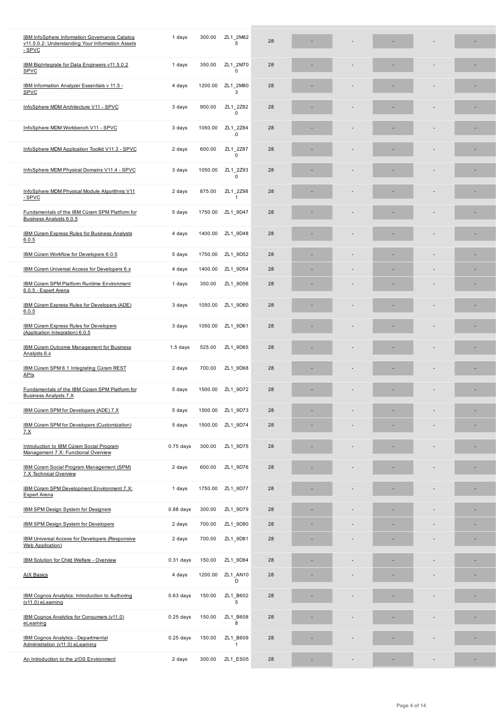| v11.5.0.2: Understanding Your Information Assets<br>- SPVC                      |             |         | 5                          |    |    |  |   |
|---------------------------------------------------------------------------------|-------------|---------|----------------------------|----|----|--|---|
| IBM BigIntegrate for Data Engineers v11.5.0.2<br><b>SPVC</b>                    | 1 days      | 350.00  | ZL1 2M70<br>$\mathbf 0$    | 28 |    |  |   |
| IBM Information Analyzer Essentials v 11.5 -<br><b>SPVC</b>                     | 4 days      | 1200.00 | ZL1 2M80<br>3              | 28 |    |  |   |
| InfoSphere MDM Architecture V11 - SPVC                                          | 3 days      | 900.00  | ZL1 2Z82<br>0              | 28 |    |  |   |
| InfoSphere MDM Workbench V11 - SPVC                                             | 3 days      | 1050.00 | ZL1 2Z84<br>$\mathbf 0$    | 28 |    |  |   |
| InfoSphere MDM Application Toolkit V11.3 - SPVC                                 | 2 days      | 600.00  | ZL1 2Z87<br>$\mathbf 0$    | 28 |    |  |   |
| InfoSphere MDM Physical Domains V11.4 - SPVC                                    | 3 days      | 1050.00 | ZL1 2Z93<br>$\mathbf 0$    | 28 |    |  |   |
| InfoSphere MDM Physical Module Algorithms V11<br>- SPVC                         | 2 days      | 875.00  | ZL1_2Z98<br>$\mathbf{1}$   | 28 |    |  |   |
| Fundamentals of the IBM Cúram SPM Platform for<br>Business Analysts 6.0.5       | 5 days      | 1750.00 | ZL1_9D47                   | 28 |    |  |   |
| IBM Cúram Express Rules for Business Analysts<br>6.0.5                          | 4 days      | 1400.00 | ZL1_9D48                   | 28 |    |  | ٠ |
| IBM Cúram Workflow for Developers 6.0.5                                         | 5 days      | 1750.00 | ZL1 9D52                   | 28 |    |  |   |
| IBM Cúram Universal Access for Developers 6.x                                   | 4 days      | 1400.00 | ZL1 9D54                   | 28 |    |  |   |
| <b>IBM Cúram SPM Platform Runtime Environment</b><br>6.0.5 - Expert Arena       | 1 days      | 350.00  | ZL1 9D56                   | 28 |    |  |   |
| IBM Cúram Express Rules for Developers (ADE)<br>6.0.5                           | 3 days      | 1050.00 | ZL1_9D60                   | 28 |    |  |   |
| IBM Cúram Express Rules for Developers<br>(Application Integration) 6.0.5       | 3 days      | 1050.00 | ZL1 9D61                   | 28 |    |  | ٠ |
| <b>IBM Cúram Outcome Management for Business</b><br>Analysts 6.x                | $1.5$ days  | 525.00  | ZL1_9D65                   | 28 |    |  |   |
| IBM Cúram SPM 6.1 Integrating Cúram REST<br><b>APIs</b>                         | 2 days      | 700.00  | ZL1_9D68                   | 28 |    |  |   |
| Fundamentals of the IBM Cúram SPM Platform for<br><b>Business Analysts 7.X</b>  | 5 days      | 1500.00 | ZL1_9D72                   | 28 |    |  |   |
| IBM Cúram SPM for Developers (ADE) 7.X                                          | 5 days      | 1500.00 | ZL1_9D73                   | 28 |    |  |   |
| IBM Cúram SPM for Developers (Customization)<br><u>7.X</u>                      | 5 days      | 1500.00 | ZL1_9D74                   | 28 |    |  |   |
| Introduction to IBM Cúram Social Program<br>Management 7.X: Functional Overview | $0.75$ days | 300.00  | ZL1_9D75                   | 28 |    |  |   |
| IBM Cúram Social Program Management (SPM)<br>7.X Technical Overview             | 2 days      | 600.00  | ZL1 9D76                   | 28 |    |  |   |
| IBM Cúram SPM Development Environment 7.X:<br><b>Expert Arena</b>               | 1 days      | 1750.00 | ZL1_9D77                   | 28 |    |  |   |
| IBM SPM Design System for Designers                                             | $0.88$ days | 300.00  | ZL1_9D79                   | 28 | ×, |  |   |
| IBM SPM Design System for Developers                                            | 2 days      | 700.00  | ZL1_9D80                   | 28 | ä, |  | ۳ |
| IBM Universal Access for Developers (Responsive<br><b>Web Application</b> )     | 2 days      | 700.00  | ZL1_9D81                   | 28 | ä, |  | ٠ |
| IBM Solution for Child Welfare - Overview                                       | $0.31$ days | 150.00  | ZL1_9D84                   | 28 |    |  |   |
| <b>AIX Basics</b>                                                               | 4 days      | 1200.00 | ZL1 AN10<br>D              | 28 |    |  |   |
| IBM Cognos Analytics: Introduction to Authoring<br>$(v11.0)$ eLearning          | $0.63$ days | 150.00  | ZL1 B602<br>5              | 28 |    |  |   |
| IBM Cognos Analytics for Consumers (v11.0)<br>eLearning                         | $0.25$ days | 150.00  | ZL1 B608<br>8              | 28 |    |  |   |
| <b>IBM Cognos Analytics - Departmental</b><br>Administration (v11.0) eLearning  | $0.25$ days | 150.00  | ZL1 B609<br>$\overline{1}$ | 28 |    |  |   |
| An Introduction to the z/OS Environment                                         | 2 days      | 300.00  | ZL1_ES05                   | 28 | ٠  |  | ٠ |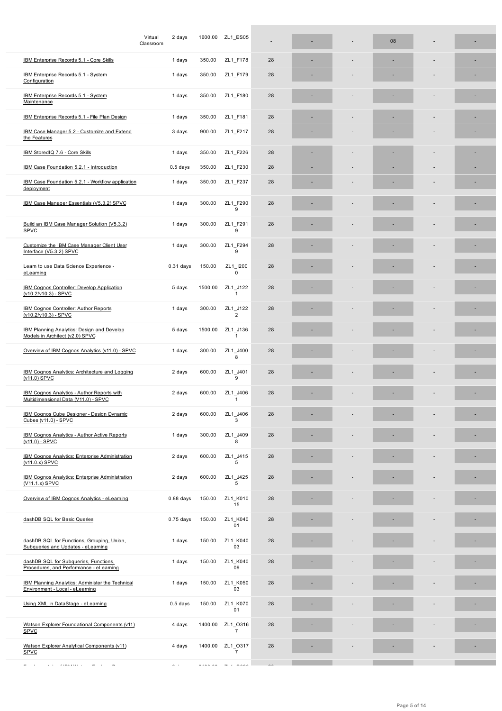|                                                                                            | Classroom   |         |                                                    |    |  |  |   |
|--------------------------------------------------------------------------------------------|-------------|---------|----------------------------------------------------|----|--|--|---|
| IBM Enterprise Records 5.1 - Core Skills                                                   | 1 days      | 350.00  | ZL1 F178                                           | 28 |  |  |   |
| IBM Enterprise Records 5.1 - System<br>Configuration                                       | 1 days      | 350.00  | ZL1_F179                                           | 28 |  |  |   |
| IBM Enterprise Records 5.1 - System<br>Maintenance                                         | 1 days      | 350.00  | ZL1 F180                                           | 28 |  |  |   |
| IBM Enterprise Records 5.1 - File Plan Design                                              | 1 days      | 350.00  | ZL1_F181                                           | 28 |  |  | ٠ |
| IBM Case Manager 5.2 - Customize and Extend<br>the Features                                | 3 days      | 900.00  | ZL1 F217                                           | 28 |  |  |   |
| IBM StoredIQ 7.6 - Core Skills                                                             | 1 days      | 350.00  | ZL1 F226                                           | 28 |  |  | ٠ |
| IBM Case Foundation 5.2.1 - Introduction                                                   | $0.5$ days  | 350.00  | ZL1_F230                                           | 28 |  |  |   |
| IBM Case Foundation 5.2.1 - Workflow application<br>deployment                             | 1 days      | 350.00  | ZL1_F237                                           | 28 |  |  |   |
| IBM Case Manager Essentials (V5.3.2) SPVC                                                  | 1 days      | 300.00  | ZL1 F290<br>9                                      | 28 |  |  | ٠ |
| Build an IBM Case Manager Solution (V5.3.2)<br>SPVC                                        | 1 days      | 300.00  | ZL1 F291<br>9                                      | 28 |  |  |   |
| Customize the IBM Case Manager Client User<br>Interface (V5.3.2) SPVC                      | 1 days      | 300.00  | ZL1 F294<br>9                                      | 28 |  |  |   |
| Learn to use Data Science Experience -<br>eLearning                                        | $0.31$ days | 150.00  | ZL1 I200<br>$\mathbf 0$                            | 28 |  |  |   |
| IBM Cognos Controller: Develop Application<br>(v10.2/v10.3) - SPVC                         | 5 days      | 1500.00 | ZL1 J122<br>$\mathbf{1}$                           | 28 |  |  |   |
| IBM Cognos Controller: Author Reports<br>(v10.2/v10.3) - SPVC                              | 1 days      | 300.00  | ZL1 J122<br>$\overline{2}$                         | 28 |  |  |   |
| <b>IBM Planning Analytics: Design and Develop</b><br>Models in Architect (v2.0) SPVC       | 5 days      | 1500.00 | ZL1 J136<br>$\mathbf{1}$                           | 28 |  |  |   |
| Overview of IBM Cognos Analytics (v11.0) - SPVC                                            | 1 days      | 300.00  | ZL1 J400<br>8                                      | 28 |  |  |   |
| IBM Cognos Analytics: Architecture and Logging<br>(v11.0) SPVC                             | 2 days      | 600.00  | ZL1 J401<br>9                                      | 28 |  |  |   |
| IBM Cognos Analytics - Author Reports with<br>Multidimensional Data (V11.0) - SPVC         | 2 days      | 600.00  | ZL1 J406<br>$\mathbf{1}$                           | 28 |  |  |   |
| <b>IBM Cognos Cube Designer - Design Dynamic</b><br>Cubes (v11.0) - SPVC                   | 2 days      | 600.00  | ZL1 J406<br>3                                      | 28 |  |  |   |
| <b>IBM Cognos Analytics - Author Active Reports</b><br>$(v11.0) - SPVC$                    | 1 days      | 300.00  | ZL1 J409<br>8                                      | 28 |  |  |   |
| <b>IBM Cognos Analytics: Enterprise Administration</b><br>(v11.0.x) SPVC                   | 2 days      | 600.00  | ZL1_J415<br>5                                      | 28 |  |  |   |
| IBM Cognos Analytics: Enterprise Administration<br>(V11.1.x) SPVC                          | 2 days      | 600.00  | ZL1_J425<br>5                                      | 28 |  |  |   |
| Overview of IBM Cognos Analytics - eLearning                                               | $0.88$ days | 150.00  | ZL1 K010<br>15                                     | 28 |  |  |   |
| dashDB SQL for Basic Queries                                                               | $0.75$ days | 150.00  | ZL1 K040<br>01                                     | 28 |  |  |   |
| dashDB SQL for Functions, Grouping, Union,<br>Subqueries and Updates - eLearning           | 1 days      | 150.00  | ZL1 K040<br>03                                     | 28 |  |  |   |
| dashDB SQL for Subqueries, Functions,<br>Procedures, and Performance - eLearning           | 1 days      | 150.00  | ZL1 K040<br>09                                     | 28 |  |  |   |
| <b>IBM Planning Analytics: Administer the Technical</b><br>Environment - Local - eLearning | 1 days      | 150.00  | ZL1_K050<br>03                                     | 28 |  |  |   |
| Using XML in DataStage - eLearning                                                         | $0.5$ days  | 150.00  | ZL1 K070<br>01                                     | 28 |  |  |   |
| Watson Explorer Foundational Components (v11)<br>SPVC                                      | 4 days      | 1400.00 | ZL1 0316<br>$\overline{7}$                         | 28 |  |  |   |
| Watson Explorer Analytical Components (v11)<br>SPVC                                        | 4 days      | 1400.00 | ZL1 0317<br>$\overline{7}$                         | 28 |  |  |   |
|                                                                                            |             |         | $\hspace{0.1em} \ldots \hspace{0.1em}$ .<br>$\sim$ |    |  |  |   |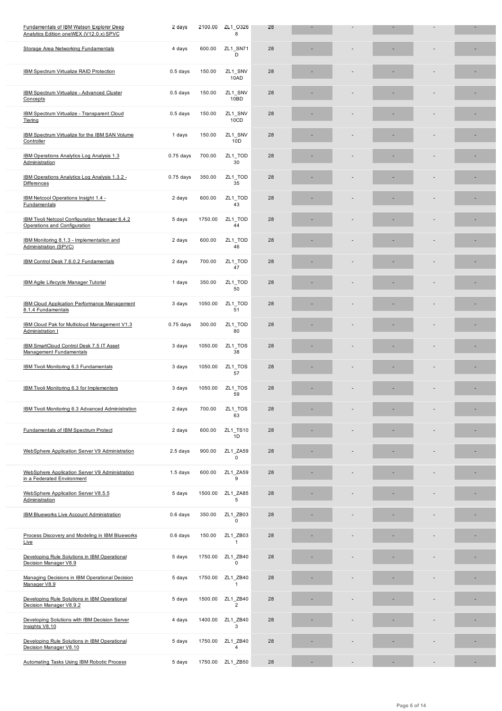| Storage Area Networking Fundamentals                                           | 4 days      | 600.00  | ZL1_SN71<br>D              | 28 |  |                          |  |
|--------------------------------------------------------------------------------|-------------|---------|----------------------------|----|--|--------------------------|--|
| IBM Spectrum Virtualize RAID Protection                                        | $0.5$ days  | 150.00  | ZL1 SNV<br>10AD            | 28 |  |                          |  |
| IBM Spectrum Virtualize - Advanced Cluster<br>Concepts                         | $0.5$ days  | 150.00  | ZL1_SNV<br>10BD            | 28 |  |                          |  |
| IBM Spectrum Virtualize - Transparent Cloud<br>Tiering                         | $0.5$ days  | 150.00  | ZL1_SNV<br>10CD            | 28 |  |                          |  |
| IBM Spectrum Virtualize for the IBM SAN Volume<br>Controller                   | 1 days      | 150.00  | ZL1 SNV<br>10D             | 28 |  |                          |  |
| IBM Operations Analytics Log Analysis 1.3<br>Administration                    | $0.75$ days | 700.00  | ZL1_TOD<br>30              | 28 |  |                          |  |
| IBM Operations Analytics Log Analysis 1.3.2 -<br><b>Differences</b>            | $0.75$ days | 350.00  | ZL1_TOD<br>35              | 28 |  |                          |  |
| IBM Netcool Operations Insight 1.4 -<br>Fundamentals                           | 2 days      | 600.00  | ZL1_TOD<br>43              | 28 |  |                          |  |
| IBM Tivoli Netcool Configuration Manager 6.4.2<br>Operations and Configuration | 5 days      | 1750.00 | ZL1 TOD<br>44              | 28 |  |                          |  |
| IBM Monitoring 8.1.3 - Implementation and<br>Administration (SPVC)             | 2 days      | 600.00  | ZL1 TOD<br>46              | 28 |  |                          |  |
| IBM Control Desk 7.6.0.2 Fundamentals                                          | 2 days      | 700.00  | ZL1_TOD<br>47              | 28 |  |                          |  |
| <b>IBM Agile Lifecycle Manager Tutorial</b>                                    | 1 days      | 350.00  | ZL1_TOD<br>50              | 28 |  |                          |  |
| <b>IBM Cloud Application Performance Management</b><br>8.1.4 Fundamentals      | 3 days      | 1050.00 | ZL1 TOD<br>51              | 28 |  |                          |  |
| IBM Cloud Pak for Multicloud Management V1.3<br>Administration I               | $0.75$ days | 300.00  | ZL1_TOD<br>80              | 28 |  |                          |  |
| IBM SmartCloud Control Desk 7.5 IT Asset<br>Management Fundamentals            | 3 days      | 1050.00 | ZL1_TOS<br>38              | 28 |  |                          |  |
| IBM Tivoli Monitoring 6.3 Fundamentals                                         | 3 days      | 1050.00 | ZL1_TOS<br>57              | 28 |  |                          |  |
| IBM Tivoli Monitoring 6.3 for Implementers                                     | 3 days      | 1050.00 | ZL1_TOS<br>59              | 28 |  |                          |  |
| IBM Tivoli Monitoring 6.3 Advanced Administration                              | 2 days      | 700.00  | ZL1_TOS<br>63              | 28 |  |                          |  |
| Fundamentals of IBM Spectrum Protect                                           | 2 days      | 600.00  | ZL1_TS10<br>1D             | 28 |  |                          |  |
| WebSphere Application Server V9 Administration                                 | 2.5 days    | 900.00  | ZL1 ZA59<br>0              | 28 |  |                          |  |
| WebSphere Application Server V9 Administration<br>in a Federated Environment   | $1.5$ days  | 600.00  | ZL1 ZA59<br>9              | 28 |  |                          |  |
| WebSphere Application Server V8.5.5<br>Administration                          | 5 days      | 1500.00 | ZL1 ZA85<br>5              | 28 |  |                          |  |
| <b>IBM Blueworks Live Account Administration</b>                               | 0.6 days    | 350.00  | ZL1 ZB03<br>0              | 28 |  |                          |  |
| Process Discovery and Modeling in IBM Blueworks<br>Live                        | 0.6 days    | 150.00  | ZL1_ZB03<br>$\mathbf{1}$   | 28 |  |                          |  |
| Developing Rule Solutions in IBM Operational<br>Decision Manager V8.9          | 5 days      | 1750.00 | ZL1 ZB40<br>$\Omega$       | 28 |  |                          |  |
| Managing Decisions in IBM Operational Decision<br>Manager V8.9                 | 5 days      | 1750.00 | ZL1 ZB40<br>$\mathbf{1}$   | 28 |  |                          |  |
| Developing Rule Solutions in IBM Operational<br>Decision Manager V8.9.2        | 5 days      | 1500.00 | ZL1 ZB40<br>$\overline{2}$ | 28 |  |                          |  |
| Developing Solutions with IBM Decision Server<br>Insights V8.10                | 4 days      | 1400.00 | ZL1 ZB40<br>3              | 28 |  |                          |  |
| Developing Rule Solutions in IBM Operational<br>Decision Manager V8.10         | 5 days      | 1750.00 | ZL1_ZB40<br>4              | 28 |  |                          |  |
| Automating Tasks Using IBM Robotic Process<br>and a series of the state of     | 5 days      | 1750.00 | ZL1_ZB50                   | 28 |  | $\overline{\phantom{a}}$ |  |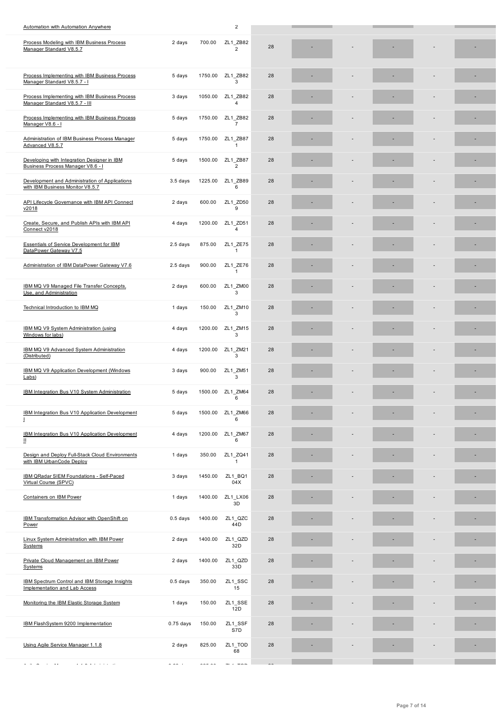| <b>Process modeling with IBM Business Process</b><br>Manager Standard V8.5.7       | z days      | 100.00  | $LLI$ $LDOZ$<br>$\overline{2}$ | 28 |  |  |  |
|------------------------------------------------------------------------------------|-------------|---------|--------------------------------|----|--|--|--|
| Process Implementing with IBM Business Process<br>Manager Standard V8.5.7 - I      | 5 days      | 1750.00 | ZL1 ZB82<br>3                  | 28 |  |  |  |
| Process Implementing with IBM Business Process<br>Manager Standard V8.5.7 - III    | 3 days      | 1050.00 | ZL1_ZB82<br>$\overline{4}$     | 28 |  |  |  |
| Process Implementing with IBM Business Process<br>Manager V8.6 - I                 | 5 days      | 1750.00 | ZL1_ZB82<br>$\overline{7}$     | 28 |  |  |  |
| Administration of IBM Business Process Manager<br>Advanced V8.5.7                  | 5 days      | 1750.00 | ZL1 ZB87<br>$\mathbf{1}$       | 28 |  |  |  |
| Developing with Integration Designer in IBM<br>Business Process Manager V8.6 - I   | 5 days      | 1500.00 | ZL1 ZB87<br>$\overline{2}$     | 28 |  |  |  |
| Development and Administration of Applications<br>with IBM Business Monitor V8.5.7 | $3.5$ days  | 1225.00 | ZL1_ZB89<br>6                  | 28 |  |  |  |
| API Lifecycle Governance with IBM API Connect<br>v2018                             | 2 days      | 600.00  | ZL1 ZD50<br>9                  | 28 |  |  |  |
| Create, Secure, and Publish APIs with IBM API<br>Connect v2018                     | 4 days      | 1200.00 | ZL1_ZD51<br>$\overline{4}$     | 28 |  |  |  |
| <b>Essentials of Service Development for IBM</b><br>DataPower Gateway V7.5         | $2.5$ days  | 875.00  | ZL1_ZE75<br>$\mathbf{1}$       | 28 |  |  |  |
| Administration of IBM DataPower Gateway V7.6                                       | 2.5 days    | 900.00  | ZL1_ZE76<br>$\mathbf{1}$       | 28 |  |  |  |
| IBM MQ V9 Managed File Transfer Concepts,<br>Use, and Administration               | 2 days      | 600.00  | ZL1_ZM00<br>3                  | 28 |  |  |  |
| Technical Introduction to IBM MQ                                                   | 1 days      | 150.00  | ZL1_ZM10<br>3                  | 28 |  |  |  |
| IBM MQ V9 System Administration (using<br>Windows for labs)                        | 4 days      | 1200.00 | ZL1 ZM15<br>3                  | 28 |  |  |  |
| IBM MQ V9 Advanced System Administration<br>(Distributed)                          | 4 days      | 1200.00 | ZL1_ZM21<br>3                  | 28 |  |  |  |
| IBM MQ V9 Application Development (Windows<br>Labs)                                | 3 days      | 900.00  | ZL1_ZM51<br>3                  | 28 |  |  |  |
| IBM Integration Bus V10 System Administration                                      | 5 days      | 1500.00 | ZL1_ZM64<br>6                  | 28 |  |  |  |
| IBM Integration Bus V10 Application Development                                    | 5 days      |         | 1500.00 ZL1_ZM66<br>6          | 28 |  |  |  |
| IBM Integration Bus V10 Application Development<br>Ш                               | 4 days      | 1200.00 | ZL1 ZM67<br>6                  | 28 |  |  |  |
| Design and Deploy Full-Stack Cloud Environments<br>with IBM UrbanCode Deploy       | 1 days      | 350.00  | ZL1_ZQ41<br>$\mathbf{1}$       | 28 |  |  |  |
| IBM QRadar SIEM Foundations - Self-Paced<br>Virtual Course (SPVC)                  | 3 days      | 1450.00 | ZL1_BQ1<br>04X                 | 28 |  |  |  |
| <b>Containers on IBM Power</b>                                                     | 1 days      | 1400.00 | ZL1_LX06<br>3D                 | 28 |  |  |  |
| <b>IBM Transformation Advisor with OpenShift on</b><br>Power                       | $0.5$ days  | 1400.00 | ZL1_QZC<br>44D                 | 28 |  |  |  |
| Linux System Administration with IBM Power<br>Systems                              | 2 days      | 1400.00 | ZL1_QZD<br>32D                 | 28 |  |  |  |
| Private Cloud Management on IBM Power<br>Systems                                   | 2 days      | 1400.00 | ZL1 QZD<br>33D                 | 28 |  |  |  |
| IBM Spectrum Control and IBM Storage Insights<br>Implementation and Lab Access     | $0.5$ days  | 350.00  | ZL1_SSC<br>15                  | 28 |  |  |  |
| Monitoring the IBM Elastic Storage System                                          | 1 days      | 150.00  | ZL1_SSE<br>12D                 | 28 |  |  |  |
| IBM FlashSystem 9200 Implementation                                                | $0.75$ days | 150.00  | ZL1_SSF<br>S7D                 | 28 |  |  |  |
| Using Agile Service Manager 1.1.8                                                  | 2 days      | 825.00  | ZL1_TOD<br>68                  | 28 |  |  |  |
|                                                                                    |             |         |                                |    |  |  |  |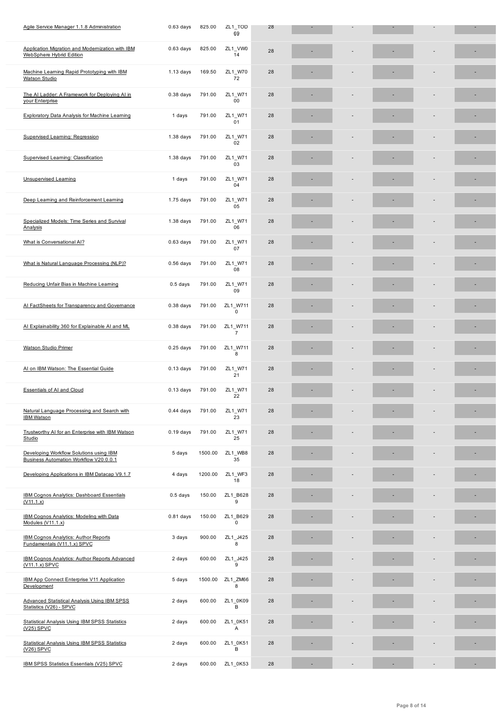| Application Migration and Modernization with IBM                                  | $0.63$ days | 825.00  | ZL1_VW0                        | 28 |  |    |    |
|-----------------------------------------------------------------------------------|-------------|---------|--------------------------------|----|--|----|----|
| WebSphere Hybrid Edition                                                          |             |         | 14                             |    |  |    |    |
| Machine Learning Rapid Prototyping with IBM<br><b>Watson Studio</b>               | $1.13$ days | 169.50  | ZL1_W70<br>72                  | 28 |  |    |    |
| The AI Ladder: A Framework for Deploying AI in<br>your Enterprise                 | $0.38$ days | 791.00  | ZL1 W71<br>00                  | 28 |  |    |    |
| <b>Exploratory Data Analysis for Machine Learning</b>                             | 1 days      | 791.00  | ZL1 W71<br>01                  | 28 |  |    | ٠  |
| Supervised Learning: Regression                                                   | $1.38$ days | 791.00  | ZL1_W71<br>02                  | 28 |  |    |    |
| Supervised Learning: Classification                                               | $1.38$ days | 791.00  | ZL1_W71<br>03                  | 28 |  |    |    |
| <b>Unsupervised Learning</b>                                                      | 1 days      | 791.00  | ZL1_W71<br>04                  | 28 |  |    |    |
| Deep Learning and Reinforcement Learning                                          | $1.75$ days | 791.00  | ZL1_W71<br>05                  | 28 |  |    |    |
| Specialized Models: Time Series and Survival<br>Analysis                          | $1.38$ days | 791.00  | ZL1_W71<br>06                  | 28 |  |    |    |
| What is Conversational AI?                                                        | $0.63$ days | 791.00  | ZL1_W71<br>07                  | 28 |  |    |    |
| What is Natural Language Processing (NLP)?                                        | $0.56$ days | 791.00  | ZL1_W71<br>08                  | 28 |  |    |    |
| Reducing Unfair Bias in Machine Learning                                          | $0.5$ days  | 791.00  | ZL1_W71<br>09                  | 28 |  |    |    |
| Al FactSheets for Transparency and Governance                                     | $0.38$ days | 791.00  | ZL1_W711<br>$\mathbf 0$        | 28 |  |    |    |
| Al Explainability 360 for Explainable AI and ML                                   | $0.38$ days | 791.00  | ZL1_W711<br>$\overline{7}$     | 28 |  |    |    |
| <b>Watson Studio Primer</b>                                                       | $0.25$ days | 791.00  | ZL1 W711<br>8                  | 28 |  |    |    |
| Al on IBM Watson: The Essential Guide                                             | $0.13$ days | 791.00  | ZL1_W71<br>21                  | 28 |  |    | ٠  |
| <b>Essentials of AI and Cloud</b>                                                 | $0.13$ days | 791.00  | ZL1_W71<br>22                  | 28 |  |    |    |
| Natural Language Processing and Search with<br><b>IBM Watson</b>                  |             |         | 0.44 days 791.00 ZL1_W71<br>23 | 28 |  |    |    |
| Trustworthy AI for an Enterprise with IBM Watson<br>Studio                        | $0.19$ days | 791.00  | ZL1_W71<br>25                  | 28 |  |    |    |
| Developing Workflow Solutions using IBM<br>Business Automation Workflow V20.0.0.1 | 5 days      | 1500.00 | ZL1_WB8<br>35                  | 28 |  |    |    |
| Developing Applications in IBM Datacap V9.1.7                                     | 4 days      | 1200.00 | ZL1_WF3<br>18                  | 28 |  |    | ٠  |
| <b>IBM Cognos Analytics: Dashboard Essentials</b><br>(V11.1.x)                    | $0.5$ days  | 150.00  | ZL1 B628<br>9                  | 28 |  |    | ٠  |
| IBM Cognos Analytics: Modeling with Data<br>Modules (V11.1.x)                     | $0.81$ days | 150.00  | ZL1 B629<br>$\mathbf 0$        | 28 |  | ÷  | ٠  |
| <b>IBM Cognos Analytics: Author Reports</b><br>Fundamentals (V11.1.x) SPVC        | 3 days      | 900.00  | ZL1 J425<br>8                  | 28 |  |    |    |
| IBM Cognos Analytics: Author Reports Advanced<br>$(V11.1.x)$ SPVC                 | 2 days      | 600.00  | ZL1 J425<br>9                  | 28 |  |    |    |
| IBM App Connect Enterprise V11 Application<br>Development                         | 5 days      | 1500.00 | ZL1 ZM66<br>8                  | 28 |  |    |    |
| <b>Advanced Statistical Analysis Using IBM SPSS</b><br>Statistics (V26) - SPVC    | 2 days      | 600.00  | ZL1_0K09<br>B                  | 28 |  |    |    |
| <b>Statistical Analysis Using IBM SPSS Statistics</b><br>(V25) SPVC               | 2 days      | 600.00  | ZL1 0K51<br>Α                  | 28 |  |    |    |
| <b>Statistical Analysis Using IBM SPSS Statistics</b><br>$(V26)$ SPVC             | 2 days      | 600.00  | ZL1 0K51<br>В                  | 28 |  |    | ٠  |
| IBM SPSS Statistics Essentials (V25) SPVC                                         | 2 days      | 600.00  | ZL1_0K53                       | 28 |  | ÷, | ×, |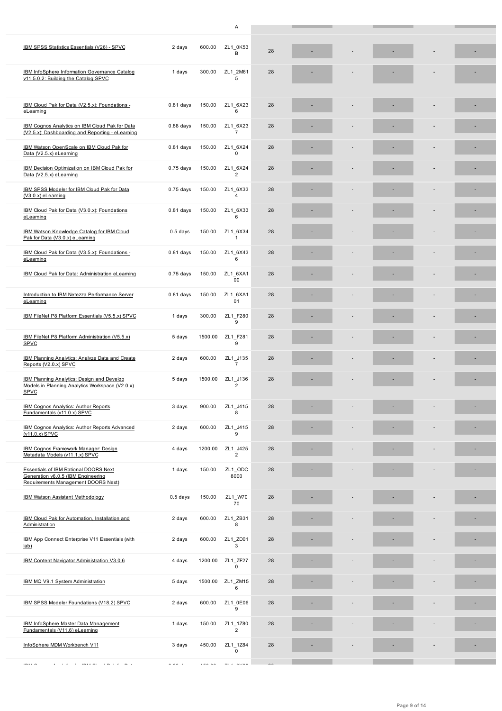| IBM SPSS Statistics Essentials (V26) - SPVC                                                                                                                                                             | 2 days      | 600.00  | ZL1_0K53<br>B              | 28 |  |  |  |
|---------------------------------------------------------------------------------------------------------------------------------------------------------------------------------------------------------|-------------|---------|----------------------------|----|--|--|--|
| IBM InfoSphere Information Governance Catalog<br>v11.5.0.2: Building the Catalog SPVC                                                                                                                   | 1 days      | 300.00  | ZL1 2M61<br>5              | 28 |  |  |  |
| IBM Cloud Pak for Data (V2.5.x): Foundations -<br>eLearning                                                                                                                                             | $0.81$ days | 150.00  | ZL1 6X23<br>6              | 28 |  |  |  |
| IBM Cognos Analytics on IBM Cloud Pak for Data<br>(V2.5.x): Dashboarding and Reporting - eLearning                                                                                                      | $0.88$ days | 150.00  | ZL1_6X23<br>$\overline{7}$ | 28 |  |  |  |
| IBM Watson OpenScale on IBM Cloud Pak for<br>Data (V2.5.x) eLearning                                                                                                                                    | $0.81$ days | 150.00  | ZL1 6X24<br>0              | 28 |  |  |  |
| IBM Decision Optimization on IBM Cloud Pak for<br>Data (V2.5.x) eLearning                                                                                                                               | $0.75$ days | 150.00  | ZL1 6X24<br>$\overline{2}$ | 28 |  |  |  |
| IBM SPSS Modeler for IBM Cloud Pak for Data<br>$(V3.0.x)$ eLearning                                                                                                                                     | $0.75$ days | 150.00  | ZL1 6X33<br>4              | 28 |  |  |  |
| IBM Cloud Pak for Data (V3.0.x): Foundations<br>eLearning                                                                                                                                               | $0.81$ days | 150.00  | ZL1 6X33<br>6              | 28 |  |  |  |
| IBM Watson Knowledge Catalog for IBM Cloud<br>Pak for Data (V3.0.x) eLearning                                                                                                                           | $0.5$ days  | 150.00  | ZL1 6X34<br>$\mathbf{1}$   | 28 |  |  |  |
| IBM Cloud Pak for Data (V3.5.x): Foundations -<br>eLearning                                                                                                                                             | $0.81$ days | 150.00  | ZL1_6X43<br>6              | 28 |  |  |  |
| IBM Cloud Pak for Data: Administration eLearning                                                                                                                                                        | $0.75$ days | 150.00  | ZL1 6XA1<br>00             | 28 |  |  |  |
| Introduction to IBM Netezza Performance Server<br>eLearning                                                                                                                                             | $0.81$ days | 150.00  | ZL1 6XA1<br>01             | 28 |  |  |  |
| IBM FileNet P8 Platform Essentials (V5.5.x) SPVC                                                                                                                                                        | 1 days      | 300.00  | ZL1 F280<br>9              | 28 |  |  |  |
| IBM FileNet P8 Platform Administration (V5.5.x)<br><b>SPVC</b>                                                                                                                                          | 5 days      | 1500.00 | ZL1 F281<br>9              | 28 |  |  |  |
| IBM Planning Analytics: Analyze Data and Create<br>Reports (V2.0.x) SPVC                                                                                                                                | 2 days      | 600.00  | ZL1 J135<br>$\overline{7}$ | 28 |  |  |  |
| <b>IBM Planning Analytics: Design and Develop</b><br>Models in Planning Analytics Workspace (V2.0.x)<br><b>SPVC</b>                                                                                     | 5 days      | 1500.00 | ZL1 J136<br>$\overline{2}$ | 28 |  |  |  |
| IBM Cognos Analytics: Author Reports<br>Fundamentals (v11.0.x) SPVC                                                                                                                                     | 3 days      | 900.00  | ZL1 J415<br>8              | 28 |  |  |  |
| IBM Cognos Analytics: Author Reports Advanced<br>$(v11.0.x)$ SPVC                                                                                                                                       | 2 days      | 600.00  | ZL1 J415<br>9              | 28 |  |  |  |
| IBM Cognos Framework Manager: Design<br>Metadata Models (v11.1.x) SPVC                                                                                                                                  | 4 days      | 1200.00 | ZL1 J425<br>$\overline{2}$ | 28 |  |  |  |
| <b>Essentials of IBM Rational DOORS Next</b><br>Generation v6.0.5 (IBM Engineering<br>Requirements Management DOORS Next)                                                                               | 1 days      | 150.00  | ZL1 ODC<br>8000            | 28 |  |  |  |
| <b>IBM Watson Assistant Methodology</b>                                                                                                                                                                 | $0.5$ days  | 150.00  | ZL1_W70<br>70              | 28 |  |  |  |
| IBM Cloud Pak for Automation, Installation and<br>Administration                                                                                                                                        | 2 days      | 600.00  | ZL1 ZB31<br>8              | 28 |  |  |  |
| IBM App Connect Enterprise V11 Essentials (with<br>lab)                                                                                                                                                 | 2 days      | 600.00  | ZL1 ZD01<br>3              | 28 |  |  |  |
| IBM Content Navigator Administration V3.0.6                                                                                                                                                             | 4 days      | 1200.00 | ZL1 ZF27<br>0              | 28 |  |  |  |
| IBM MQ V9.1 System Administration                                                                                                                                                                       | 5 days      | 1500.00 | ZL1_ZM15<br>6              | 28 |  |  |  |
| IBM SPSS Modeler Foundations (V18.2) SPVC                                                                                                                                                               | 2 days      | 600.00  | ZL1 0E06<br>9              | 28 |  |  |  |
| IBM InfoSphere Master Data Management<br>Fundamentals (V11.6) eLearning                                                                                                                                 | 1 days      | 150.00  | ZL1_1Z80<br>$\overline{2}$ | 28 |  |  |  |
| InfoSphere MDM Workbench V11                                                                                                                                                                            | 3 days      | 450.00  | ZL1_1Z84<br>0              | 28 |  |  |  |
| $\alpha$ , and $\alpha$ , and $\alpha$ , and $\alpha$ , and $\alpha$ , and $\alpha$ , and $\alpha$<br>$\label{eq:2.1} \begin{array}{cccccccccc} \cdots & \cdots & \cdots & \cdots & \cdots \end{array}$ |             |         |                            |    |  |  |  |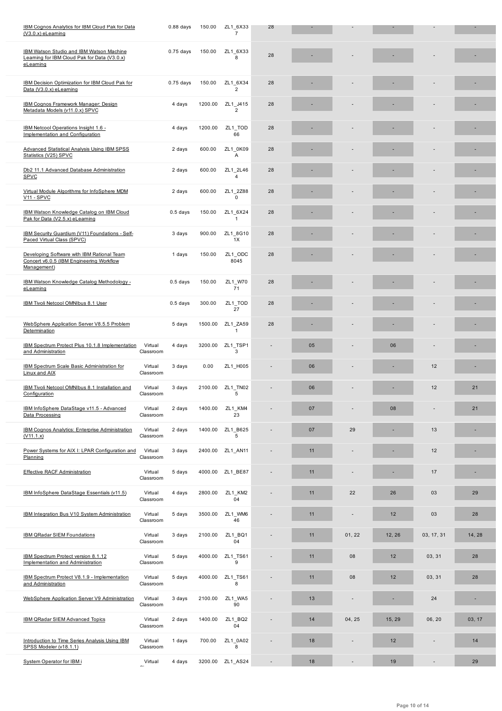| IBM Watson Studio and IBM Watson Machine<br>Learning for IBM Cloud Pak for Data (V3.0.x)<br>eLearning |                      | $0.75$ days<br>150.00 | ZL1 6X33<br>8              | 28 |    |        |        |            |        |
|-------------------------------------------------------------------------------------------------------|----------------------|-----------------------|----------------------------|----|----|--------|--------|------------|--------|
| IBM Decision Optimization for IBM Cloud Pak for<br>Data (V3.0.x) eLearning                            |                      | $0.75$ days<br>150.00 | ZL1 6X34<br>$\overline{2}$ | 28 |    |        |        |            |        |
| <b>IBM Cognos Framework Manager: Design</b><br>Metadata Models (v11.0.x) SPVC                         |                      | 4 days<br>1200.00     | ZL1 J415<br>$\overline{2}$ | 28 |    |        |        |            |        |
| IBM Netcool Operations Insight 1.6 -<br>Implementation and Configuration                              |                      | 1200.00<br>4 days     | ZL1_TOD<br>66              | 28 |    |        |        |            |        |
| <b>Advanced Statistical Analysis Using IBM SPSS</b><br>Statistics (V25) SPVC                          |                      | 600.00<br>2 days      | ZL1 0K09<br>Α              | 28 |    |        |        |            |        |
| Db2 11.1 Advanced Database Administration<br><b>SPVC</b>                                              |                      | 600.00<br>2 days      | ZL1 2L46<br>4              | 28 |    |        |        |            | ٠      |
| Virtual Module Algorithms for InfoSphere MDM<br><b>V11 - SPVC</b>                                     |                      | 2 days<br>600.00      | ZL1 2Z88<br>$\mathbf 0$    | 28 |    |        |        |            |        |
| IBM Watson Knowledge Catalog on IBM Cloud<br>Pak for Data (V2.5.x) eLearning                          |                      | $0.5$ days<br>150.00  | ZL1 6X24<br>$\mathbf{1}$   | 28 |    |        |        |            |        |
| IBM Security Guardium (V11) Foundations - Self-<br>Paced Virtual Class (SPVC)                         |                      | 3 days<br>900.00      | ZL1_8G10<br>1X             | 28 |    |        |        |            |        |
| Developing Software with IBM Rational Team<br>Concert v6.0.5 (IBM Engineering Workflow<br>Management) |                      | 1 days<br>150.00      | ZL1_ODC<br>8045            | 28 |    |        |        |            |        |
| IBM Watson Knowledge Catalog Methodology -<br>eLearning                                               |                      | $0.5$ days<br>150.00  | ZL1 W70<br>71              | 28 |    |        |        |            | ٠      |
| IBM Tivoli Netcool OMNIbus 8.1 User                                                                   |                      | $0.5$ days<br>300.00  | ZL1_TOD<br>27              | 28 |    |        |        |            |        |
| WebSphere Application Server V8.5.5 Problem<br>Determination                                          |                      | 5 days<br>1500.00     | ZL1 ZA59<br>1              | 28 |    |        |        |            |        |
| IBM Spectrum Protect Plus 10.1.8 Implementation<br>and Administration                                 | Virtual<br>Classroom | 3200.00<br>4 days     | ZL1_TSP1<br>3              |    | 05 |        | 06     |            |        |
| <b>IBM Spectrum Scale Basic Administration for</b><br>Linux and AIX                                   | Virtual<br>Classroom | 3 days<br>0.00        | ZL1_H005                   |    | 06 |        |        | 12         | ٠      |
| IBM Tivoli Netcool OMNIbus 8.1 Installation and<br>Configuration                                      | Virtual<br>Classroom | 3 days<br>2100.00     | ZL1 TN02<br>5              |    | 06 |        |        | 12         | 21     |
| IBM InfoSphere DataStage v11.5 - Advanced<br>Data Processing                                          | Virtual<br>Classroom | 1400.00<br>2 days     | ZL1_KM4<br>23              |    | 07 |        | 08     |            | 21     |
| <b>IBM Cognos Analytics: Enterprise Administration</b><br>(V11.1.x)                                   | Virtual<br>Classroom | 2 days<br>1400.00     | ZL1_B625<br>5              |    | 07 | 29     |        | 13         |        |
| Power Systems for AIX I: LPAR Configuration and<br>Planning                                           | Virtual<br>Classroom | 3 days<br>2400.00     | ZL1 AN11                   |    | 11 |        |        | 12         |        |
| <b>Effective RACF Administration</b>                                                                  | Virtual<br>Classroom | 5 days<br>4000.00     | ZL1 BE87                   |    | 11 |        |        | 17         |        |
| IBM InfoSphere DataStage Essentials (v11.5)                                                           | Virtual<br>Classroom | 4 days<br>2800.00     | ZL1_KM2<br>04              |    | 11 | 22     | 26     | 03         | 29     |
| IBM Integration Bus V10 System Administration                                                         | Virtual<br>Classroom | 3500.00<br>5 days     | ZL1 WM6<br>46              |    | 11 | ÷      | 12     | 03         | 28     |
| <b>IBM QRadar SIEM Foundations</b>                                                                    | Virtual<br>Classroom | 2100.00<br>3 days     | ZL1 BQ1<br>04              |    | 11 | 01, 22 | 12, 26 | 03, 17, 31 | 14, 28 |
| IBM Spectrum Protect version 8.1.12<br>Implementation and Administration                              | Virtual<br>Classroom | 5 days<br>4000.00     | ZL1 TS61<br>9              |    | 11 | 08     | 12     | 03, 31     | 28     |
| IBM Spectrum Protect V8.1.9 - Implementation<br>and Administration                                    | Virtual<br>Classroom | 4000.00<br>5 days     | ZL1 TS61<br>8              |    | 11 | 08     | 12     | 03, 31     | 28     |
| WebSphere Application Server V9 Administration                                                        | Virtual<br>Classroom | 2100.00<br>3 days     | ZL1_WA5<br>90              |    | 13 |        |        | 24         | ٠      |
| IBM QRadar SIEM Advanced Topics                                                                       | Virtual<br>Classroom | 2 days<br>1400.00     | ZL1 BQ2<br>04              |    | 14 | 04, 25 | 15, 29 | 06, 20     | 03, 17 |
| Introduction to Time Series Analysis Using IBM<br>SPSS Modeler (v18.1.1)                              | Virtual<br>Classroom | 1 days<br>700.00      | ZL1 0A02<br>8              |    | 18 |        | 12     |            | 14     |
| System Operator for IBM i                                                                             | Virtual              | 4 days<br>3200.00     | ZL1_AS24                   |    | 18 |        | 19     |            | 29     |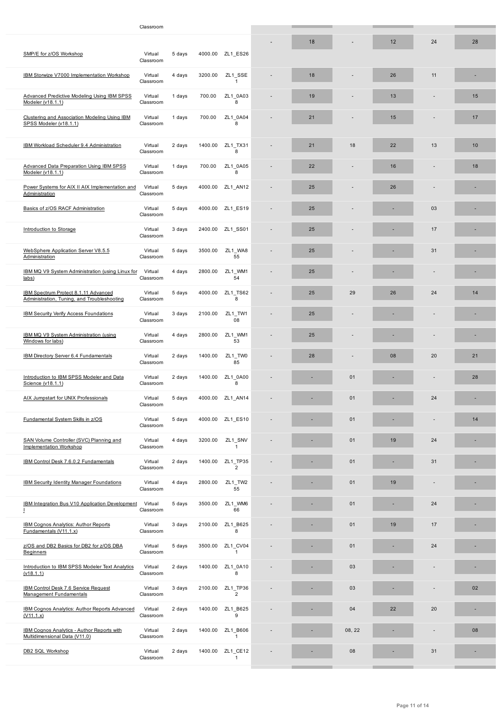| SMP/E for z/OS Workshop                                                             | Virtual<br>Classroom | 5 days | 4000.00 | ZL1 ES26                   |    |        |    |    |    |
|-------------------------------------------------------------------------------------|----------------------|--------|---------|----------------------------|----|--------|----|----|----|
| IBM Storwize V7000 Implementation Workshop                                          | Virtual<br>Classroom | 4 days | 3200.00 | ZL1 SSE<br>$\mathbf{1}$    | 18 |        | 26 | 11 |    |
| <b>Advanced Predictive Modeling Using IBM SPSS</b><br>Modeler (v18.1.1)             | Virtual<br>Classroom | 1 days | 700.00  | ZL1 0A03<br>8              | 19 |        | 13 |    | 15 |
| Clustering and Association Modeling Using IBM<br>SPSS Modeler (v18.1.1)             | Virtual<br>Classroom | 1 days | 700.00  | ZL1 0A04<br>8              | 21 |        | 15 |    | 17 |
| IBM Workload Scheduler 9.4 Administration                                           | Virtual<br>Classroom | 2 days | 1400.00 | ZL1 TX31<br>8              | 21 | 18     | 22 | 13 | 10 |
| <b>Advanced Data Preparation Using IBM SPSS</b><br>Modeler (v18.1.1)                | Virtual<br>Classroom | 1 days | 700.00  | ZL1 0A05<br>8              | 22 |        | 16 |    | 18 |
| Power Systems for AIX II AIX Implementation and<br>Administration                   | Virtual<br>Classroom | 5 days | 4000.00 | ZL1 AN12                   | 25 |        | 26 |    |    |
| Basics of z/OS RACF Administration                                                  | Virtual<br>Classroom | 5 days | 4000.00 | ZL1_ES19                   | 25 |        |    | 03 |    |
| Introduction to Storage                                                             | Virtual<br>Classroom | 3 days | 2400.00 | ZL1_SS01                   | 25 |        |    | 17 |    |
| WebSphere Application Server V8.5.5<br>Administration                               | Virtual<br>Classroom | 5 days | 3500.00 | ZL1 WA8<br>55              | 25 |        |    | 31 |    |
| IBM MQ V9 System Administration (using Linux for<br>labs)                           | Virtual<br>Classroom | 4 days | 2800.00 | ZL1 WM1<br>54              | 25 |        |    |    |    |
| IBM Spectrum Protect 8.1.11 Advanced<br>Administration, Tuning, and Troubleshooting | Virtual<br>Classroom | 5 days | 4000.00 | ZL1 TS62<br>8              | 25 | 29     | 26 | 24 | 14 |
| <b>IBM Security Verify Access Foundations</b>                                       | Virtual<br>Classroom | 3 days | 2100.00 | ZL1_TW1<br>08              | 25 |        |    |    |    |
| IBM MQ V9 System Administration (using<br>Windows for labs)                         | Virtual<br>Classroom | 4 days | 2800.00 | ZL1_WM1<br>53              | 25 |        |    |    |    |
| <b>IBM Directory Server 6.4 Fundamentals</b>                                        | Virtual<br>Classroom | 2 days | 1400.00 | ZL1_TW0<br>85              | 28 |        | 08 | 20 | 21 |
| Introduction to IBM SPSS Modeler and Data<br>Science (v18.1.1)                      | Virtual<br>Classroom | 2 days | 1400.00 | ZL1 0A00<br>8              |    | 01     |    |    | 28 |
| AIX Jumpstart for UNIX Professionals                                                | Virtual<br>Classroom | 5 days | 4000.00 | ZL1 AN14                   |    | 01     |    | 24 |    |
| Fundamental System Skills in z/OS                                                   | Virtual<br>Classroom | 5 days |         | 4000.00 ZL1_ES10           |    | 01     |    |    | 14 |
| SAN Volume Controller (SVC) Planning and<br><b>Implementation Workshop</b>          | Virtual<br>Classroom | 4 days | 3200.00 | ZL1_SNV<br>1               |    | 01     | 19 | 24 |    |
| IBM Control Desk 7.6.0.2 Fundamentals                                               | Virtual<br>Classroom | 2 days | 1400.00 | ZL1_TP35<br>$\overline{2}$ |    | 01     |    | 31 |    |
| <b>IBM Security Identity Manager Foundations</b>                                    | Virtual<br>Classroom | 4 days | 2800.00 | ZL1 TW2<br>55              |    | 01     | 19 |    |    |
| <b>IBM Integration Bus V10 Application Development</b><br>T                         | Virtual<br>Classroom | 5 days | 3500.00 | ZL1_WM6<br>66              |    | 01     |    | 24 |    |
| <b>IBM Cognos Analytics: Author Reports</b><br>Fundamentals (V11.1.x)               | Virtual<br>Classroom | 3 days | 2100.00 | ZL1 B625<br>8              |    | 01     | 19 | 17 |    |
| z/OS and DB2 Basics for DB2 for z/OS DBA<br><b>Beginners</b>                        | Virtual<br>Classroom | 5 days | 3500.00 | ZL1 CV04<br>$\mathbf{1}$   |    | 01     |    | 24 |    |
| Introduction to IBM SPSS Modeler Text Analytics<br>(v18.1.1)                        | Virtual<br>Classroom | 2 days | 1400.00 | ZL1 0A10<br>8              |    | 03     |    |    |    |
| IBM Control Desk 7.6 Service Request<br><b>Management Fundamentals</b>              | Virtual<br>Classroom | 3 days | 2100.00 | ZL1_TP36<br>$\overline{2}$ |    | 03     |    |    | 02 |
| <b>IBM Cognos Analytics: Author Reports Advanced</b><br>(V11.1.x)                   | Virtual<br>Classroom | 2 days | 1400.00 | ZL1 B625<br>9              |    | 04     | 22 | 20 | ×, |
| IBM Cognos Analytics - Author Reports with<br>Multidimensional Data (V11.0)         | Virtual<br>Classroom | 2 days | 1400.00 | ZL1 B606<br>$\mathbf{1}$   |    | 08, 22 |    |    | 08 |
| DB2 SQL Workshop                                                                    | Virtual<br>Classroom | 2 days | 1400.00 | ZL1 CE12<br>1              |    | 08     |    | 31 |    |
|                                                                                     |                      |        |         |                            |    |        |    |    |    |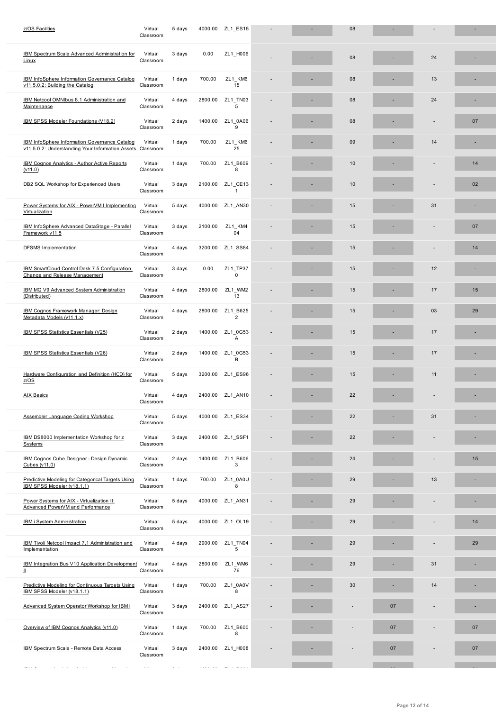| <b>IBM Spectrum Scale Advanced Administration for</b><br>Linux                                           | Virtual<br>Classroom        | 3 days         | 0.00                                      | ZL1_H006                   |  | 08 |    | 24 |    |
|----------------------------------------------------------------------------------------------------------|-----------------------------|----------------|-------------------------------------------|----------------------------|--|----|----|----|----|
| <b>IBM InfoSphere Information Governance Catalog</b><br>v11.5.0.2: Building the Catalog                  | Virtual<br>Classroom        | 1 days         | 700.00                                    | ZL1 KM6<br>15              |  | 08 |    | 13 |    |
| IBM Netcool OMNIbus 8.1 Administration and<br>Maintenance                                                | Virtual<br>Classroom        | 4 days         | 2800.00                                   | ZL1 TN03<br>5              |  | 08 |    | 24 |    |
| IBM SPSS Modeler Foundations (V18.2)                                                                     | Virtual<br>Classroom        | 2 days         | 1400.00                                   | ZL1 0A06<br>9              |  | 08 |    |    | 07 |
| <b>IBM InfoSphere Information Governance Catalog</b><br>v11.5.0.2: Understanding Your Information Assets | Virtual<br>Classroom        | 1 days         | 700.00                                    | ZL1 KM6<br>25              |  | 09 |    | 14 |    |
| IBM Cognos Analytics - Author Active Reports<br>(v11.0)                                                  | Virtual<br>Classroom        | 1 days         | 700.00                                    | ZL1 B609<br>8              |  | 10 |    |    | 14 |
| DB2 SQL Workshop for Experienced Users                                                                   | Virtual<br>Classroom        | 3 days         | 2100.00                                   | ZL1 CE13<br>$\mathbf{1}$   |  | 10 |    |    | 02 |
| Power Systems for AIX - PowerVM I Implementing<br>Virtualization                                         | Virtual<br>Classroom        | 5 days         | 4000.00                                   | ZL1_AN30                   |  | 15 |    | 31 |    |
| IBM InfoSphere Advanced DataStage - Parallel<br>Framework v11.5                                          | Virtual<br>Classroom        | 3 days         | 2100.00                                   | ZL1_KM4<br>04              |  | 15 |    |    | 07 |
| <b>DFSMS</b> Implementation                                                                              | Virtual<br>Classroom        | 4 days         | 3200.00                                   | ZL1 SS84                   |  | 15 |    |    | 14 |
| IBM SmartCloud Control Desk 7.5 Configuration,<br>Change and Release Management                          | Virtual<br>Classroom        | 3 days         | 0.00                                      | ZL1 TP37<br>$\mathbf 0$    |  | 15 |    | 12 |    |
| IBM MQ V9 Advanced System Administration<br>(Distributed)                                                | Virtual<br>Classroom        | 4 days         | 2800.00                                   | ZL1 WM2<br>13              |  | 15 |    | 17 | 15 |
| IBM Cognos Framework Manager: Design<br>Metadata Models (v11.1.x)                                        | Virtual<br>Classroom        | 4 days         | 2800.00                                   | ZL1 B625<br>$\overline{2}$ |  | 15 |    | 03 | 29 |
| IBM SPSS Statistics Essentials (V25)                                                                     | Virtual<br>Classroom        | 2 days         | 1400.00                                   | ZL1 0G53<br>Α              |  | 15 |    | 17 |    |
| IBM SPSS Statistics Essentials (V26)                                                                     | Virtual<br>Classroom        | 2 days         | 1400.00                                   | ZL1 0G53<br>B              |  | 15 |    | 17 |    |
| Hardware Configuration and Definition (HCD) for<br>Z/OS                                                  | Virtual<br>Classroom        | 5 days         | 3200.00                                   | ZL1 ES96                   |  | 15 |    | 11 |    |
| <b>AIX Basics</b>                                                                                        | Virtual<br>Classroom        | 4 days         | 2400.00                                   | ZL1 AN10                   |  | 22 |    |    |    |
| Assembler Language Coding Workshop                                                                       | Virtual<br>Classroom        | 5 days         | 4000.00                                   | ZL1 ES34                   |  | 22 |    | 31 |    |
| IBM DS8000 Implementation Workshop for z<br>Systems                                                      | Virtual<br>Classroom        | 3 days         | 2400.00                                   | ZL1 SSF1                   |  | 22 |    |    |    |
| IBM Cognos Cube Designer - Design Dynamic<br>Cubes (v11.0)                                               | Virtual<br>Classroom        | 2 days         | 1400.00                                   | ZL1_B606<br>3              |  | 24 |    |    | 15 |
| Predictive Modeling for Categorical Targets Using<br>IBM SPSS Modeler (v18.1.1)                          | Virtual<br>Classroom        | 1 days         | 700.00                                    | ZL1 0A0U<br>8              |  | 29 |    | 13 |    |
| Power Systems for AIX - Virtualization II:<br>Advanced PowerVM and Performance                           | Virtual<br>Classroom        | 5 days         | 4000.00                                   | ZL1 AN31                   |  | 29 |    |    |    |
| <b>IBM i System Administration</b>                                                                       | Virtual<br>Classroom        | 5 days         | 4000.00                                   | ZL1 OL19                   |  | 29 |    |    | 14 |
| IBM Tivoli Netcool Impact 7.1 Administration and<br>Implementation                                       | Virtual<br>Classroom        | 4 days         | 2900.00                                   | ZL1 TN04<br>5              |  | 29 |    |    | 29 |
| IBM Integration Bus V10 Application Development<br>Ш                                                     | Virtual<br>Classroom        | 4 days         | 2800.00                                   | ZL1_WM6<br>76              |  | 29 |    | 31 |    |
| Predictive Modeling for Continuous Targets Using<br>IBM SPSS Modeler (v18.1.1)                           | Virtual<br>Classroom        | 1 days         | 700.00                                    | ZL1 0A0V<br>8              |  | 30 |    | 14 |    |
| Advanced System Operator Workshop for IBM i                                                              | Virtual<br>Classroom        | 3 days         | 2400.00                                   | ZL1_AS27                   |  |    | 07 |    |    |
| Overview of IBM Cognos Analytics (v11.0)                                                                 | Virtual<br>Classroom        | 1 days         | 700.00                                    | ZL1 B600<br>8              |  |    | 07 |    | 07 |
| IBM Spectrum Scale - Remote Data Access                                                                  | Virtual<br>Classroom        | 3 days         | 2400.00                                   | ZL1 H008                   |  |    | 07 |    | 07 |
| $\dots$<br>and a series and a series<br>$\sim$ $\sim$<br>$\sim$                                          | $\alpha$ and $\beta$ . Then | $\sim$ $ \sim$ | $\sim$ $\sim$ $\sim$ $\sim$ $\sim$ $\sim$ | والمحامل والمسا            |  |    |    |    |    |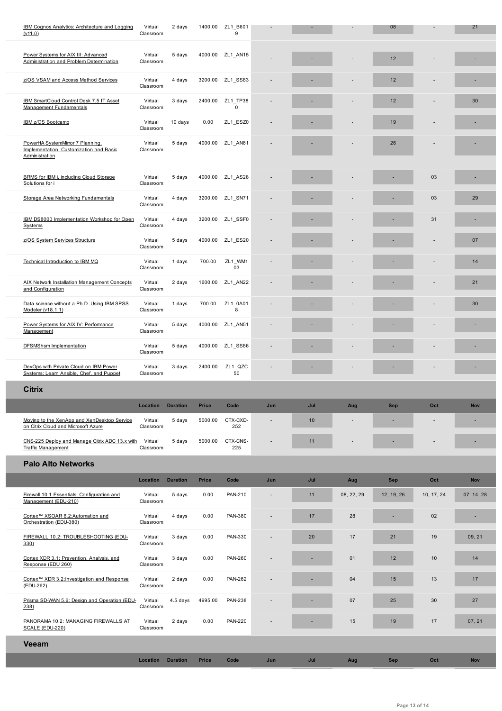| Power Systems for AIX III: Advanced<br>Administration and Problem Determination               | Virtual<br>Classroom | 5 days          |              | 4000.00 ZL1_AN15        |     |     |            | 12         |            |            |
|-----------------------------------------------------------------------------------------------|----------------------|-----------------|--------------|-------------------------|-----|-----|------------|------------|------------|------------|
| z/OS VSAM and Access Method Services                                                          | Virtual<br>Classroom | 4 days          | 3200.00      | ZL1 SS83                |     |     |            | 12         |            |            |
| IBM SmartCloud Control Desk 7.5 IT Asset<br>Management Fundamentals                           | Virtual<br>Classroom | 3 days          | 2400.00      | ZL1_TP38<br>$\mathbf 0$ |     |     |            | 12         |            | 30         |
| IBM z/OS Bootcamp                                                                             | Virtual<br>Classroom | 10 days         | 0.00         | ZL1_ESZ0                |     |     |            | 19         |            |            |
| PowerHA SystemMirror 7 Planning,<br>Implementation, Customization and Basic<br>Administration | Virtual<br>Classroom | 5 days          | 4000.00      | ZL1 AN61                |     |     |            | 26         |            |            |
| BRMS for IBM i, including Cloud Storage<br>Solutions for i                                    | Virtual<br>Classroom | 5 days          | 4000.00      | ZL1 AS28                |     |     |            |            | 03         |            |
| Storage Area Networking Fundamentals                                                          | Virtual<br>Classroom | 4 days          | 3200.00      | ZL1_SN71                |     |     |            |            | 03         | 29         |
| IBM DS8000 Implementation Workshop for Open<br><b>Systems</b>                                 | Virtual<br>Classroom | 4 days          | 3200.00      | ZL1_SSF0                |     |     |            |            | 31         |            |
| z/OS System Services Structure                                                                | Virtual<br>Classroom | 5 days          | 4000.00      | ZL1_ES20                |     |     |            |            |            | 07         |
| Technical Introduction to IBM MQ                                                              | Virtual<br>Classroom | 1 days          | 700.00       | ZL1_WM1<br>03           |     |     |            |            |            | 14         |
| AIX Network Installation Management Concepts<br>and Configuration                             | Virtual<br>Classroom | 2 days          | 1600.00      | ZL1 AN22                |     |     |            |            |            | 21         |
| Data science without a Ph.D. Using IBM SPSS<br>Modeler (v18.1.1)                              | Virtual<br>Classroom | 1 days          | 700.00       | ZL1 0A01<br>8           |     |     |            |            |            | 30         |
| Power Systems for AIX IV: Performance<br>Management                                           | Virtual<br>Classroom | 5 days          | 4000.00      | ZL1_AN51                |     |     |            |            |            |            |
| <b>DFSMShsm Implementation</b>                                                                | Virtual<br>Classroom | 5 days          | 4000.00      | ZL1 SS86                |     |     |            |            |            |            |
|                                                                                               |                      |                 |              |                         |     |     |            |            |            |            |
| DevOps with Private Cloud on IBM Power<br>Systems: Leam Ansible, Chef, and Puppet             | Virtual<br>Classroom | 3 days          | 2400.00      | ZL1_QZC<br>50           |     |     |            |            |            |            |
| <b>Citrix</b>                                                                                 |                      |                 |              |                         |     |     |            |            |            |            |
|                                                                                               | <b>Location</b>      | <b>Duration</b> | <b>Price</b> | Code                    | Jun | Jul | Aug        | <b>Sep</b> | Oct        | <b>Nov</b> |
| Moving to the XenApp and XenDesktop Service<br><u>on Citrix Cloud and Microsoft Azure</u>     | Virtual<br>Classroom | 5 days          | 5000.00      | CTX-CXD-<br>252         |     | 10  |            | ٠          |            |            |
| CNS-225 Deploy and Manage Citrix ADC 13.x with<br><b>Traffic Management</b>                   | Virtual<br>Classroom | 5 days          | 5000.00      | CTX-CNS-<br>225         |     | 11  |            |            |            |            |
| <b>Palo Alto Networks</b>                                                                     |                      |                 |              |                         |     |     |            |            |            |            |
|                                                                                               | Location             | <b>Duration</b> | Price        | Code                    | Jun | Jul | Aug        | <b>Sep</b> | Oct        | <b>Nov</b> |
| Firewall 10.1 Essentials: Configuration and<br>Management (EDU-210)                           | Virtual<br>Classroom | 5 days          | 0.00         | PAN-210                 |     | 11  | 08, 22, 29 | 12, 19, 26 | 10, 17, 24 | 07, 14, 28 |
| Cortex™ XSOAR 6.2:Automation and<br>Orchestration (EDU-380)                                   | Virtual<br>Classroom | 4 days          | 0.00         | PAN-380                 |     | 17  | 28         |            | 02         | ×,         |
| FIREWALL 10.2: TROUBLESHOOTING (EDU-<br>330)                                                  | Virtual<br>Classroom | 3 days          | 0.00         | PAN-330                 |     | 20  | 17         | 21         | 19         | 09, 21     |
| Cortex XDR 3.1: Prevention, Analysis, and<br>Response (EDU 260)                               | Virtual<br>Classroom | 3 days          | 0.00         | <b>PAN-260</b>          |     |     | 01         | 12         | 10         | 14         |
| Cortex™ XDR 3.2:Investigation and Response<br>(EDU-262)                                       | Virtual<br>Classroom | 2 days          | 0.00         | <b>PAN-262</b>          |     |     | 04         | 15         | 13         | 17         |
| Prisma SD-WAN 5.6: Design and Operation (EDU-<br>238)                                         | Virtual<br>Classroom | 4.5 days        | 4995.00      | <b>PAN-238</b>          |     |     | 07         | 25         | 30         | 27         |
| PANORAMA 10.2: MANAGING FIREWALLS AT<br>SCALE (EDU-220)                                       | Virtual<br>Classroom | 2 days          | 0.00         | <b>PAN-220</b>          |     | ٠   | 15         | 19         | 17         | 07, 21     |
| Veeam                                                                                         |                      |                 |              |                         |     |     |            |            |            |            |

I

Ī

Г

Г

L

Γ